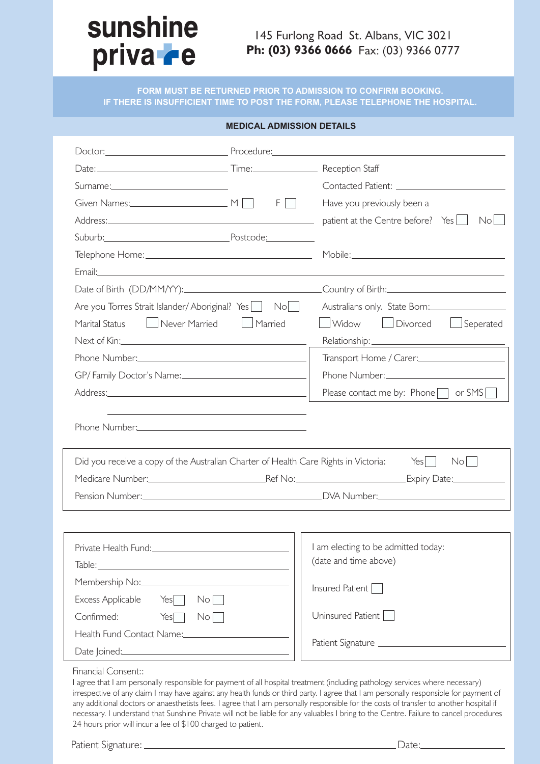# sunshine priva **re**

# 145 Furlong Road St. Albans, VIC 3021 Ph: (03) 9366 0666 Fax: (03) 9366 0777

**FORM MUST BE RETURNED PRIOR TO ADMISSION TO CONFIRM BOOKING. IF THERE IS INSUFFICIENT TIME TO POST THE FORM, PLEASE TELEPHONE THE HOSPITAL.**

#### **MEDICAL ADMISSION DETAILS**

| Date: <u>Date:</u> Time: Time: Reception Staff                                                                                                                                                                                 |                                                                                                                  |                                                                                                                                                                                                                                      |  |
|--------------------------------------------------------------------------------------------------------------------------------------------------------------------------------------------------------------------------------|------------------------------------------------------------------------------------------------------------------|--------------------------------------------------------------------------------------------------------------------------------------------------------------------------------------------------------------------------------------|--|
|                                                                                                                                                                                                                                |                                                                                                                  |                                                                                                                                                                                                                                      |  |
| Given Names: $M \cap H$ F                                                                                                                                                                                                      |                                                                                                                  | Have you previously been a<br><b>The Common</b>                                                                                                                                                                                      |  |
|                                                                                                                                                                                                                                |                                                                                                                  | patient at the Centre before? Yes<br>No <sub>1</sub>                                                                                                                                                                                 |  |
| Suburb: Postcode: Postcode:                                                                                                                                                                                                    |                                                                                                                  |                                                                                                                                                                                                                                      |  |
|                                                                                                                                                                                                                                |                                                                                                                  |                                                                                                                                                                                                                                      |  |
|                                                                                                                                                                                                                                |                                                                                                                  | Email: <u>Andreas Andreas Andreas Andreas Andreas Andreas Andreas Andreas Andreas Andreas Andreas Andreas Andreas Andreas Andreas Andreas Andreas Andreas Andreas Andreas Andreas Andreas Andreas Andreas Andreas Andreas Andrea</u> |  |
|                                                                                                                                                                                                                                |                                                                                                                  |                                                                                                                                                                                                                                      |  |
| Are you Torres Strait Islander/Aboriginal? Yes                                                                                                                                                                                 | Nol                                                                                                              | Australians only. State Born:                                                                                                                                                                                                        |  |
| Never Married<br>Marital Status                                                                                                                                                                                                | Married                                                                                                          | Divorced Seperated<br><b>Widow</b>                                                                                                                                                                                                   |  |
|                                                                                                                                                                                                                                |                                                                                                                  |                                                                                                                                                                                                                                      |  |
| Phone Number: University of the University of the University of the University of the University of the University of the University of the University of the University of the University of the University of the University |                                                                                                                  | Transport Home / Carer: <b>Manager Accord Property Carer</b>                                                                                                                                                                         |  |
| GP/Family Doctor's Name:                                                                                                                                                                                                       |                                                                                                                  |                                                                                                                                                                                                                                      |  |
|                                                                                                                                                                                                                                |                                                                                                                  | Please contact me by: Phone $\Box$ or SMS                                                                                                                                                                                            |  |
|                                                                                                                                                                                                                                |                                                                                                                  |                                                                                                                                                                                                                                      |  |
| Phone Number: 2008                                                                                                                                                                                                             | and the control of the control of the control of the control of the control of the control of the control of the |                                                                                                                                                                                                                                      |  |
| Did you receive a copy of the Australian Charter of Health Care Rights in Victoria:                                                                                                                                            |                                                                                                                  | No<br>$Yes$                                                                                                                                                                                                                          |  |
|                                                                                                                                                                                                                                |                                                                                                                  | Medicare Number: Ref No: Ref No: Expiry Date: Expiry Date:                                                                                                                                                                           |  |
|                                                                                                                                                                                                                                |                                                                                                                  |                                                                                                                                                                                                                                      |  |
|                                                                                                                                                                                                                                |                                                                                                                  |                                                                                                                                                                                                                                      |  |
| Private Health Fund:                                                                                                                                                                                                           |                                                                                                                  | I am electing to be admitted today:                                                                                                                                                                                                  |  |
|                                                                                                                                                                                                                                |                                                                                                                  | (date and time above)                                                                                                                                                                                                                |  |
|                                                                                                                                                                                                                                |                                                                                                                  |                                                                                                                                                                                                                                      |  |
| Excess Applicable<br>Yes                                                                                                                                                                                                       | $\mathsf{No}$                                                                                                    | Insured Patient                                                                                                                                                                                                                      |  |
| Confirmed:<br>Yes                                                                                                                                                                                                              | No <sub>1</sub>                                                                                                  | Uninsured Patient                                                                                                                                                                                                                    |  |
| Health Fund Contact Name:                                                                                                                                                                                                      |                                                                                                                  |                                                                                                                                                                                                                                      |  |

lly responsible for payment of all hospital treatment (including pathology services where ne irrespective of any claim I may have against any health funds or third party. I agree that I am personally responsible for payment of any additional doctors or anaesthetists fees. I agree that I am personally responsible for the costs of transfer to another hospital if necessary. I understand that Sunshine Private will not be liable for any valuables I bring to the Centre. Failure to cancel procedures 24 hours prior will incur a fee of \$100 charged to patient.

Patient Signature: Date: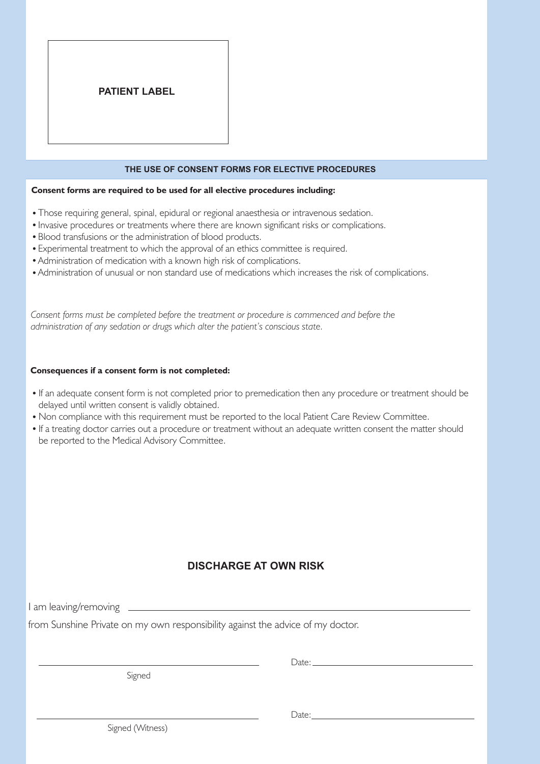# **PATIENT LABEL**

#### **THE USE OF CONSENT FORMS FOR ELECTIVE PROCEDURES**

#### **Consent forms are required to be used for all elective procedures including:**

- Those requiring general, spinal, epidural or regional anaesthesia or intravenous sedation.
- Invasive procedures or treatments where there are known significant risks or complications.
- Blood transfusions or the administration of blood products.
- Experimental treatment to which the approval of an ethics committee is required.
- Administration of medication with a known high risk of complications.
- Administration of unusual or non standard use of medications which increases the risk of complications.

*Consent forms must be completed before the treatment or procedure is commenced and before the administration of any sedation or drugs which alter the patient's conscious state.*

#### **Consequences if a consent form is not completed:**

- If an adequate consent form is not completed prior to premedication then any procedure or treatment should be delayed until written consent is validly obtained.
- Non compliance with this requirement must be reported to the local Patient Care Review Committee.
- If a treating doctor carries out a procedure or treatment without an adequate written consent the matter should be reported to the Medical Advisory Committee.

## **DISCHARGE AT OWN RISK**

I am leaving/removing

from Sunshine Private on my own responsibility against the advice of my doctor.

Signed

Date:

Date:

Signed (Witness)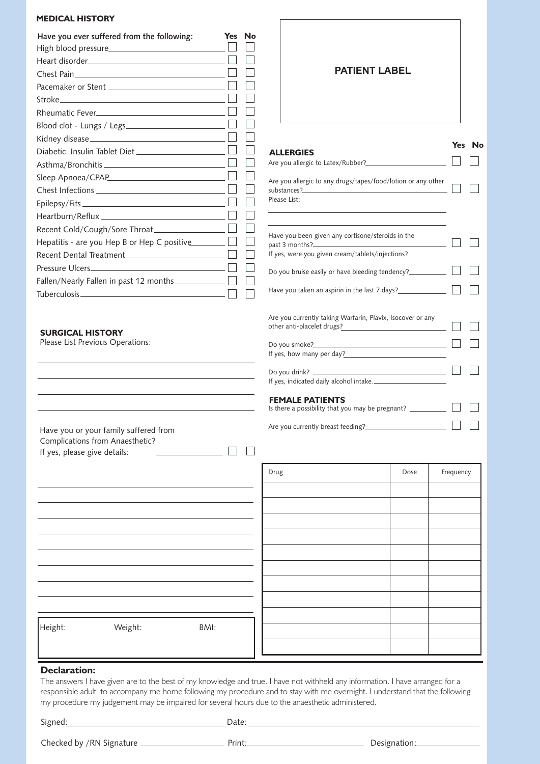### **MEDICAL HISTORY**

| Have you ever suffered from the following:         | <b>Yes</b> | Nο |
|----------------------------------------------------|------------|----|
|                                                    |            |    |
|                                                    |            |    |
|                                                    |            |    |
|                                                    |            |    |
|                                                    |            |    |
|                                                    |            |    |
|                                                    |            |    |
|                                                    |            |    |
|                                                    |            |    |
|                                                    |            |    |
|                                                    |            |    |
|                                                    |            |    |
|                                                    |            |    |
| Heartburn/Reflux _________________________________ |            |    |
|                                                    |            |    |
| Hepatitis - are you Hep B or Hep C positive $\Box$ |            |    |
|                                                    |            |    |
|                                                    |            |    |
|                                                    |            |    |
|                                                    |            |    |
|                                                    |            |    |

#### **SURGICAL HISTORY**

Please List Previous Operations:

Have you or your family suffered from Complications from Anaesthetic?<br>
If yes, please give details:  $\Box$ If yes, please give details:

| <b>PATIENT LABEL</b>                                                                                                                                                                     |        |
|------------------------------------------------------------------------------------------------------------------------------------------------------------------------------------------|--------|
| <b>ALLERGIES</b>                                                                                                                                                                         | Yes No |
| Are you allergic to any drugs/tapes/food/lotion or any other<br>substances?<br>the control of the control of the control of the control of the control of the control of<br>Please List: |        |
| Have you been given any cortisone/steroids in the<br>past 3 months?<br>If yes, were you given cream/tablets/injections?                                                                  |        |
| Do you bruise easily or have bleeding tendency?<br>Have you taken an aspirin in the last 7 days?                                                                                         |        |
| Are you currently taking Warfarin, Plavix, Isocover or any<br>other anti-placelet drugs?                                                                                                 |        |
| If yes, how many per day?<br>If yes, indicated daily alcohol intake.                                                                                                                     |        |
| <b>FEMALE PATIENTS</b><br>Is there a possibility that you may be pregnant? ____________                                                                                                  |        |
| Are you currently breast feeding?                                                                                                                                                        |        |

|      | Drug | Dose | Frequency |
|------|------|------|-----------|
|      |      |      |           |
|      |      |      |           |
|      |      |      |           |
|      |      |      |           |
|      |      |      |           |
|      |      |      |           |
|      |      |      |           |
|      |      |      |           |
| BMI: |      |      |           |
|      |      |      |           |
|      |      |      |           |

## **Declaration:**

The answers I have given are to the best of my knowledge and true. I have not withheld any information. I have arranged for a responsible adult to accompany me home following my procedure and to stay with me overnight. I understand that the following my procedure my judgement may be impaired for several hours due to the anaesthetic administered.

Signed: Date:

Checked by /RN Signature Print: Designation:

Height: Weight: